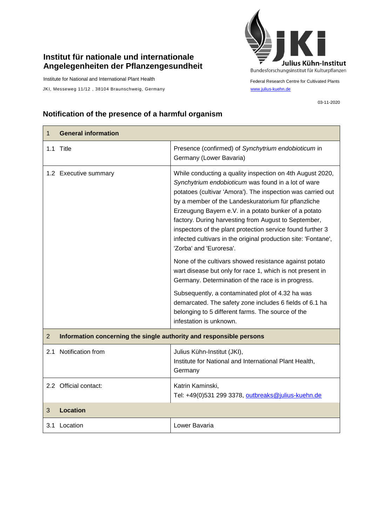## **Institut für nationale und internationale Angelegenheiten der Pflanzengesundheit**

Institute for National and International Plant Health

JKI, Messeweg 11/12, 38104 Braunschweig, Germany [www.julius-kuehn.de](http://www.julius-kuehn.de/)



Federal Research Centre for Cultivated Plants

## **Notification of the presence of a harmful organism**

| 1              | <b>General information</b>                                          |                                                                                                                                                                                                                                                                                                                                                                                                                                                                                                                                                                                                                                                                                                                                                                                                                                                                                               |
|----------------|---------------------------------------------------------------------|-----------------------------------------------------------------------------------------------------------------------------------------------------------------------------------------------------------------------------------------------------------------------------------------------------------------------------------------------------------------------------------------------------------------------------------------------------------------------------------------------------------------------------------------------------------------------------------------------------------------------------------------------------------------------------------------------------------------------------------------------------------------------------------------------------------------------------------------------------------------------------------------------|
|                | 1.1 Title                                                           | Presence (confirmed) of Synchytrium endobioticum in<br>Germany (Lower Bavaria)                                                                                                                                                                                                                                                                                                                                                                                                                                                                                                                                                                                                                                                                                                                                                                                                                |
|                | 1.2 Executive summary                                               | While conducting a quality inspection on 4th August 2020,<br>Synchytrium endobioticum was found in a lot of ware<br>potatoes (cultivar 'Amora'). The inspection was carried out<br>by a member of the Landeskuratorium für pflanzliche<br>Erzeugung Bayern e.V. in a potato bunker of a potato<br>factory. During harvesting from August to September,<br>inspectors of the plant protection service found further 3<br>infected cultivars in the original production site: 'Fontane',<br>'Zorba' and 'Euroresa'.<br>None of the cultivars showed resistance against potato<br>wart disease but only for race 1, which is not present in<br>Germany. Determination of the race is in progress.<br>Subsequently, a contaminated plot of 4.32 ha was<br>demarcated. The safety zone includes 6 fields of 6.1 ha<br>belonging to 5 different farms. The source of the<br>infestation is unknown. |
| $\overline{2}$ | Information concerning the single authority and responsible persons |                                                                                                                                                                                                                                                                                                                                                                                                                                                                                                                                                                                                                                                                                                                                                                                                                                                                                               |
| 2.1            | Notification from                                                   | Julius Kühn-Institut (JKI),<br>Institute for National and International Plant Health,<br>Germany                                                                                                                                                                                                                                                                                                                                                                                                                                                                                                                                                                                                                                                                                                                                                                                              |
|                | 2.2 Official contact:                                               | Katrin Kaminski,<br>Tel: +49(0)531 299 3378, outbreaks@julius-kuehn.de                                                                                                                                                                                                                                                                                                                                                                                                                                                                                                                                                                                                                                                                                                                                                                                                                        |
| 3              | Location                                                            |                                                                                                                                                                                                                                                                                                                                                                                                                                                                                                                                                                                                                                                                                                                                                                                                                                                                                               |
|                | 3.1 Location                                                        | Lower Bavaria                                                                                                                                                                                                                                                                                                                                                                                                                                                                                                                                                                                                                                                                                                                                                                                                                                                                                 |

03-11-2020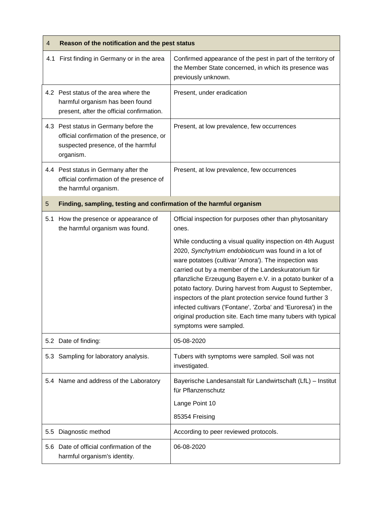| 4   | Reason of the notification and the pest status                                                                                        |                                                                                                                                                                                                                                                                                                                                                                                                                                                                                                                                                                                     |  |
|-----|---------------------------------------------------------------------------------------------------------------------------------------|-------------------------------------------------------------------------------------------------------------------------------------------------------------------------------------------------------------------------------------------------------------------------------------------------------------------------------------------------------------------------------------------------------------------------------------------------------------------------------------------------------------------------------------------------------------------------------------|--|
|     | 4.1 First finding in Germany or in the area                                                                                           | Confirmed appearance of the pest in part of the territory of<br>the Member State concerned, in which its presence was<br>previously unknown.                                                                                                                                                                                                                                                                                                                                                                                                                                        |  |
|     | 4.2 Pest status of the area where the<br>harmful organism has been found<br>present, after the official confirmation.                 | Present, under eradication                                                                                                                                                                                                                                                                                                                                                                                                                                                                                                                                                          |  |
|     | 4.3 Pest status in Germany before the<br>official confirmation of the presence, or<br>suspected presence, of the harmful<br>organism. | Present, at low prevalence, few occurrences                                                                                                                                                                                                                                                                                                                                                                                                                                                                                                                                         |  |
|     | 4.4 Pest status in Germany after the<br>official confirmation of the presence of<br>the harmful organism.                             | Present, at low prevalence, few occurrences                                                                                                                                                                                                                                                                                                                                                                                                                                                                                                                                         |  |
| 5   | Finding, sampling, testing and confirmation of the harmful organism                                                                   |                                                                                                                                                                                                                                                                                                                                                                                                                                                                                                                                                                                     |  |
| 5.1 | How the presence or appearance of<br>the harmful organism was found.                                                                  | Official inspection for purposes other than phytosanitary<br>ones.                                                                                                                                                                                                                                                                                                                                                                                                                                                                                                                  |  |
|     |                                                                                                                                       | While conducting a visual quality inspection on 4th August<br>2020, Synchytrium endobioticum was found in a lot of<br>ware potatoes (cultivar 'Amora'). The inspection was<br>carried out by a member of the Landeskuratorium für<br>pflanzliche Erzeugung Bayern e.V. in a potato bunker of a<br>potato factory. During harvest from August to September,<br>inspectors of the plant protection service found further 3<br>infected cultivars ('Fontane', 'Zorba' and 'Euroresa') in the<br>original production site. Each time many tubers with typical<br>symptoms were sampled. |  |
|     | 5.2 Date of finding:                                                                                                                  | 05-08-2020                                                                                                                                                                                                                                                                                                                                                                                                                                                                                                                                                                          |  |
|     | 5.3 Sampling for laboratory analysis.                                                                                                 | Tubers with symptoms were sampled. Soil was not<br>investigated.                                                                                                                                                                                                                                                                                                                                                                                                                                                                                                                    |  |
|     | 5.4 Name and address of the Laboratory                                                                                                | Bayerische Landesanstalt für Landwirtschaft (LfL) - Institut<br>für Pflanzenschutz                                                                                                                                                                                                                                                                                                                                                                                                                                                                                                  |  |
|     |                                                                                                                                       | Lange Point 10<br>85354 Freising                                                                                                                                                                                                                                                                                                                                                                                                                                                                                                                                                    |  |
| 5.5 | Diagnostic method                                                                                                                     | According to peer reviewed protocols.                                                                                                                                                                                                                                                                                                                                                                                                                                                                                                                                               |  |
|     | 5.6 Date of official confirmation of the<br>harmful organism's identity.                                                              | 06-08-2020                                                                                                                                                                                                                                                                                                                                                                                                                                                                                                                                                                          |  |